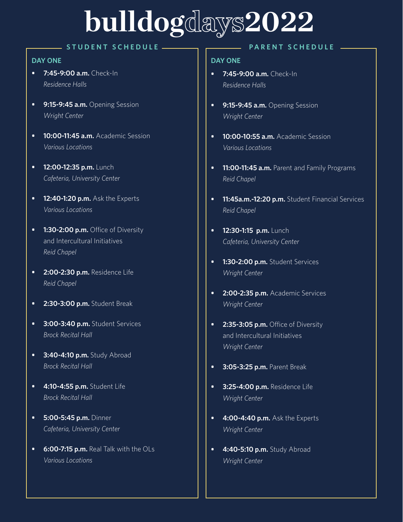# **bulldogdays2022**

### **STUDENT SCHEDULE**

### **DAY ONE DAY ONE**

- **• 7:45-9:00 a.m.** Check-In *Residence Halls*
- **• 9:15-9:45 a.m.** Opening Session *Wright Center*
- **• 10:00-11:45 a.m.** Academic Session *Various Locations*
- **• 12:00-12:35 p.m.** Lunch *Cafeteria, University Center*
- **• 12:40-1:20 p.m.** Ask the Experts *Various Locations*
- **• 1:30-2:00 p.m.** Office of Diversity and Intercultural Initiatives *Reid Chapel*
- **• 2:00-2:30 p.m.** Residence Life *Reid Chapel*
- **• 2:30-3:00 p.m.** Student Break
- **• 3:00-3:40 p.m.** Student Services *Brock Recital Hall*
- **• 3:40-4:10 p.m.** Study Abroad *Brock Recital Hall*
- **• 4:10-4:55 p.m.** Student Life *Brock Recital Hall*
- **• 5:00-5:45 p.m.** Dinner *Cafeteria, University Center*
- **• 6:00-7:15 p.m.** Real Talk with the OLs *Various Locations*

### **PARENT SCHEDULE**

- **• 7:45-9:00 a.m.** Check-In *Residence Halls*
- **• 9:15-9:45 a.m.** Opening Session *Wright Center*
- **• 10:00-10:55 a.m.** Academic Session *Various Locations*
- **• 11:00-11:45 a.m.** Parent and Family Programs *Reid Chapel*
- **• 11:45a.m.-12:20 p.m.** Student Financial Services *Reid Chapel*
- **• 12:30-1:15 p.m.** Lunch *Cafeteria, University Center*
- **• 1:30-2:00 p.m.** Student Services *Wright Center*
- **• 2:00-2:35 p.m.** Academic Services *Wright Center*
- **• 2:35-3:05 p.m.** Office of Diversity and Intercultural Initiatives *Wright Center*
- **• 3:05-3:25 p.m.** Parent Break
- **• 3:25-4:00 p.m.** Residence Life *Wright Center*
- **• 4:00-4:40 p.m.** Ask the Experts *Wright Center*
- **• 4:40-5:10 p.m.** Study Abroad *Wright Center*